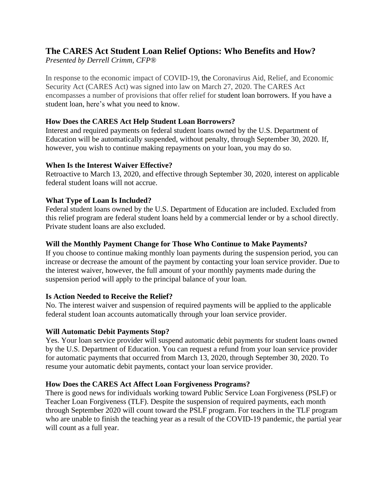# **The CARES Act Student Loan Relief Options: Who Benefits and How?**

*Presented by Derrell Crimm, CFP®*

In response to the economic impact of COVID-19, the Coronavirus Aid, Relief, and Economic Security Act (CARES Act) was signed into law on March 27, 2020. The CARES Act encompasses a number of provisions that offer relief for student loan borrowers. If you have a student loan, here's what you need to know.

## **How Does the CARES Act Help Student Loan Borrowers?**

Interest and required payments on federal student loans owned by the U.S. Department of Education will be automatically suspended, without penalty, through September 30, 2020. If, however, you wish to continue making repayments on your loan, you may do so.

#### **When Is the Interest Waiver Effective?**

Retroactive to March 13, 2020, and effective through September 30, 2020, interest on applicable federal student loans will not accrue.

## **What Type of Loan Is Included?**

Federal student loans owned by the U.S. Department of Education are included. Excluded from this relief program are federal student loans held by a commercial lender or by a school directly. Private student loans are also excluded.

#### **Will the Monthly Payment Change for Those Who Continue to Make Payments?**

If you choose to continue making monthly loan payments during the suspension period, you can increase or decrease the amount of the payment by contacting your loan service provider. Due to the interest waiver, however, the full amount of your monthly payments made during the suspension period will apply to the principal balance of your loan.

## **Is Action Needed to Receive the Relief?**

No. The interest waiver and suspension of required payments will be applied to the applicable federal student loan accounts automatically through your loan service provider.

## **Will Automatic Debit Payments Stop?**

Yes. Your loan service provider will suspend automatic debit payments for student loans owned by the U.S. Department of Education. You can request a refund from your loan service provider for automatic payments that occurred from March 13, 2020, through September 30, 2020. To resume your automatic debit payments, contact your loan service provider.

## **How Does the CARES Act Affect Loan Forgiveness Programs?**

There is good news for individuals working toward Public Service Loan Forgiveness (PSLF) or Teacher Loan Forgiveness (TLF). Despite the suspension of required payments, each month through September 2020 will count toward the PSLF program. For teachers in the TLF program who are unable to finish the teaching year as a result of the COVID-19 pandemic, the partial year will count as a full year.